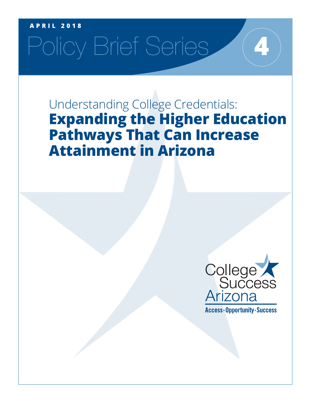### **APRIL 2018**

# Policy Brief Series

Understanding College Credentials: **Expanding the Higher Education Pathways That Can Increase Attainment in Arizona**



**4**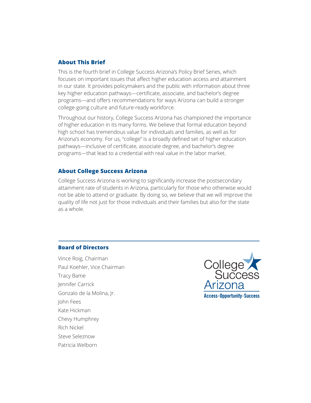### **About This Brief**

This is the fourth brief in College Success Arizona's Policy Brief Series, which focuses on important issues that affect higher education access and attainment in our state. It provides policymakers and the public with information about three key higher education pathways—certificate, associate, and bachelor's degree programs—and offers recommendations for ways Arizona can build a stronger college-going culture and future-ready workforce.

Throughout our history, College Success Arizona has championed the importance of higher education in its many forms. We believe that formal education beyond high school has tremendous value for individuals and families, as well as for Arizona's economy. For us, "college" is a broadly defined set of higher education pathways—inclusive of certificate, associate degree, and bachelor's degree programs—that lead to a credential with real value in the labor market.

### **About College Success Arizona**

College Success Arizona is working to significantly increase the postsecondary attainment rate of students in Arizona, particularly for those who otherwise would not be able to attend or graduate. By doing so, we believe that we will improve the quality of life not just for those individuals and their families but also for the state as a whole.

### **Board of Directors**

Vince Roig, Chairman Paul Koehler, Vice Chairman Tracy Bame Jennifer Carrick Gonzalo de la Molina, Jr. John Fees Kate Hickman Chevy Humphrey Rich Nickel Steve Seleznow Patricia Welborn

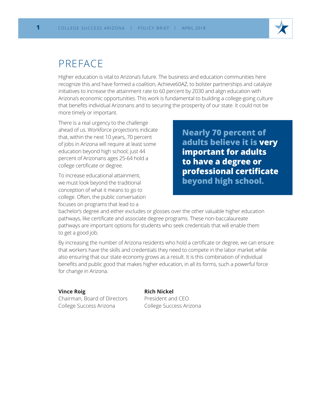### PREFACE

Higher education is vital to Arizona's future. The business and education communities here recognize this and have formed a coalition, Achieve60AZ, to bolster partnerships and catalyze initiatives to increase the attainment rate to 60 percent by 2030 and align education with Arizona's economic opportunities. This work is fundamental to building a college-going culture that benefits individual Arizonans and to securing the prosperity of our state. It could not be more timely or important.

There is a real urgency to the challenge ahead of us. Workforce projections indicate that, within the next 10 years, 70 percent of jobs in Arizona will require at least some education beyond high school; just 44 percent of Arizonans ages 25-64 hold a college certificate or degree.

To increase educational attainment, we must look beyond the traditional conception of what it means to go to college. Often, the public conversation focuses on programs that lead to a

**Nearly 70 percent of adults believe it is very important for adults to have a degree or professional certificate beyond high school.**

bachelor's degree and either excludes or glosses over the other valuable higher education pathways, like certificate and associate degree programs. These non-baccalaureate pathways are important options for students who seek credentials that will enable them to get a good job.

By increasing the number of Arizona residents who hold a certificate or degree, we can ensure that workers have the skills and credentials they need to compete in the labor market while also ensuring that our state economy grows as a result. It is this combination of individual benefits and public good that makes higher education, in all its forms, such a powerful force for change in Arizona.

### **Vince Roig**

Chairman, Board of Directors College Success Arizona

### **Rich Nickel**

President and CEO College Success Arizona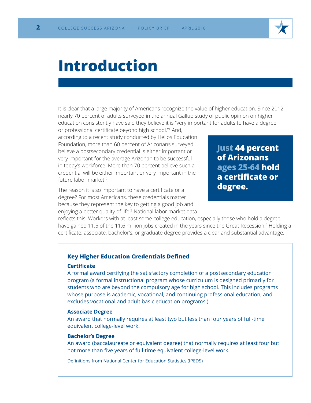

### **Introduction**

It is clear that a large majority of Americans recognize the value of higher education. Since 2012, nearly 70 percent of adults surveyed in the annual Gallup study of public opinion on higher education consistently have said they believe it is "very important for adults to have a degree

or professional certificate beyond high school."<sup>1</sup> And, according to a recent study conducted by Helios Education Foundation, more than 60 percent of Arizonans surveyed believe a postsecondary credential is either important or very important for the average Arizonan to be successful in today's workforce. More than 70 percent believe such a credential will be either important or very important in the future labor market.2

The reason it is so important to have a certificate or a degree? For most Americans, these credentials matter because they represent the key to getting a good job and enjoying a better quality of life.<sup>3</sup> National labor market data **Just 44 percent of Arizonans ages 25-64 hold a certificate or degree.**

reflects this. Workers with at least some college education, especially those who hold a degree, have gained 11.5 of the 11.6 million jobs created in the years since the Great Recession.<sup>4</sup> Holding a certificate, associate, bachelor's, or graduate degree provides a clear and substantial advantage.

### **Key Higher Education Credentials Defined**

### **Certificate**

A formal award certifying the satisfactory completion of a postsecondary education program (a formal instructional program whose curriculum is designed primarily for students who are beyond the compulsory age for high school. This includes programs whose purpose is academic, vocational, and continuing professional education, and excludes vocational and adult basic education programs.)

### **Associate Degree**

An award that normally requires at least two but less than four years of full-time equivalent college-level work.

### **Bachelor's Degree**

An award (baccalaureate or equivalent degree) that normally requires at least four but not more than five years of full-time equivalent college-level work.

Definitions from National Center for Education Statistics (IPEDS)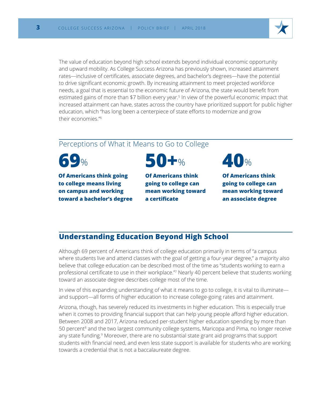

The value of education beyond high school extends beyond individual economic opportunity and upward mobility. As College Success Arizona has previously shown, increased attainment rates—inclusive of certificates, associate degrees, and bachelor's degrees—have the potential to drive significant economic growth. By increasing attainment to meet projected workforce needs, a goal that is essential to the economic future of Arizona, the state would benefit from estimated gains of more than \$7 billion every year.<sup>5</sup> In view of the powerful economic impact that increased attainment can have, states across the country have prioritized support for public higher education, which "has long been a centerpiece of state efforts to modernize and grow their economies."6

### Perceptions of What it Means to Go to College

**69**%

**Of Americans think going to college means living on campus and working toward a bachelor's degree**



**Of Americans think going to college can mean working toward a certificate**



**Of Americans think going to college can mean working toward an associate degree**

### **Understanding Education Beyond High School**

Although 69 percent of Americans think of college education primarily in terms of "a campus where students live and attend classes with the goal of getting a four-year degree," a majority also believe that college education can be described most of the time as "students working to earn a professional certificate to use in their workplace."<sup>7</sup> Nearly 40 percent believe that students working toward an associate degree describes college most of the time.

In view of this expanding understanding of what it means to go to college, it is vital to illuminate and support—all forms of higher education to increase college-going rates and attainment.

Arizona, though, has severely reduced its investments in higher education. This is especially true when it comes to providing financial support that can help young people afford higher education. Between 2008 and 2017, Arizona reduced per-student higher education spending by more than 50 percent<sup>8</sup> and the two largest community college systems, Maricopa and Pima, no longer receive any state funding.<sup>9</sup> Moreover, there are no substantial state grant aid programs that support students with financial need, and even less state support is available for students who are working towards a credential that is not a baccalaureate degree.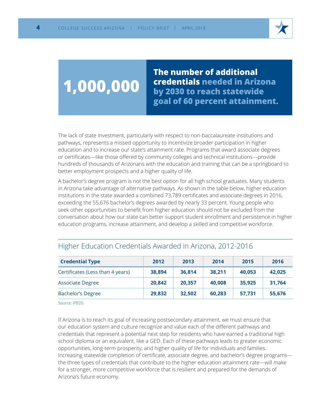

## **1,000,000**

**The number of additional credentials needed in Arizona by 2030 to reach statewide goal of 60 percent attainment.**

The lack of state investment, particularly with respect to non-baccalaureate institutions and pathways, represents a missed opportunity to incentivize broader participation in higher education and to increase our state's attainment rate. Programs that award associate degrees or certificates—like those offered by community colleges and technical institutions—provide hundreds of thousands of Arizonans with the education and training that can be a springboard to better employment prospects and a higher quality of life.

A bachelor's degree program is not the best option for all high school graduates. Many students in Arizona take advantage of alternative pathways. As shown in the table below, higher education institutions in the state awarded a combined 73,789 certificates and associate degrees in 2016, exceeding the 55,676 bachelor's degrees awarded by nearly 33 percent. Young people who seek other opportunities to benefit from higher education should not be excluded from the conversation about how our state can better support student enrollment and persistence in higher education programs, increase attainment, and develop a skilled and competitive workforce.

| <b>Credential Type</b>           | 2012   | 2013   | 2014   | 2015   | 2016   |
|----------------------------------|--------|--------|--------|--------|--------|
| Certificates (Less than 4 years) | 38,894 | 36,814 | 38,211 | 40,053 | 42,025 |
| <b>Associate Degree</b>          | 20,842 | 20,357 | 40,008 | 35,925 | 31,764 |
| <b>Bachelor's Degree</b>         | 29,832 | 32,502 | 60,283 | 57,731 | 55,676 |

### Higher Education Credentials Awarded in Arizona, 2012-2016

Source: IPEDS

If Arizona is to reach its goal of increasing postsecondary attainment, we must ensure that our education system and culture recognize and value each of the different pathways and credentials that represent a potential next step for residents who have earned a traditional high school diploma or an equivalent, like a GED. Each of these pathways leads to greater economic opportunities, long-term prosperity, and higher quality of life for individuals and families. Increasing statewide completion of certificate, associate degree, and bachelor's degree programs the three types of credentials that contribute to the higher education attainment rate—will make for a stronger, more competitive workforce that is resilient and prepared for the demands of Arizona's future economy.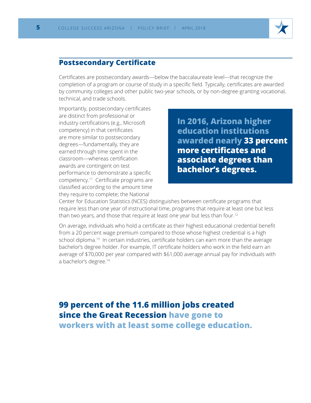

### **Postsecondary Certificate**

Certificates are postsecondary awards—below the baccalaureate level—that recognize the completion of a program or course of study in a specific field. Typically, certificates are awarded by community colleges and other public two-year schools, or by non-degree-granting vocational, technical, and trade schools.

Importantly, postsecondary certificates are distinct from professional or industry certifications (e.g., Microsoft competency) in that certificates are more similar to postsecondary degrees—fundamentally, they are earned through time spent in the classroom—whereas certification awards are contingent on test performance to demonstrate a specific competency.11 Certificate programs are classified according to the amount time they require to complete; the National

**In 2016, Arizona higher education institutions awarded nearly 33 percent more certificates and associate degrees than bachelor's degrees.**

Center for Education Statistics (NCES) distinguishes between certificate programs that require less than one year of instructional time, programs that require at least one but less than two years, and those that require at least one year but less than four.12

On average, individuals who hold a certificate as their highest educational credential benefit from a 20 percent wage premium compared to those whose highest credential is a high school diploma.<sup>13</sup> In certain industries, certificate holders can earn more than the average bachelor's degree holder. For example, IT certificate holders who work in the field earn an average of \$70,000 per year compared with \$61,000 average annual pay for individuals with a bachelor's degree.<sup>14</sup>

### **99 percent of the 11.6 million jobs created since the Great Recession have gone to workers with at least some college education.**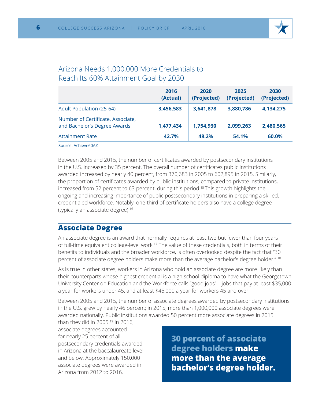

### Arizona Needs 1,000,000 More Credentials to Reach Its 60% Attainment Goal by 2030

|                                                                   | 2016<br>(Actual) | 2020<br>(Projected) | 2025<br>(Projected) | 2030<br>(Projected) |
|-------------------------------------------------------------------|------------------|---------------------|---------------------|---------------------|
| <b>Adult Population (25-64)</b>                                   | 3,456,583        | 3,641,878           | 3,880,786           | 4,134,275           |
| Number of Certificate, Associate,<br>and Bachelor's Degree Awards | 1,477,434        | 1,754,930           | 2,099,263           | 2,480,565           |
| <b>Attainment Rate</b>                                            | 42.7%            | 48.2%               | 54.1%               | 60.0%               |

Source: Achieve60AZ

Between 2005 and 2015, the number of certificates awarded by postsecondary institutions in the U.S. increased by 35 percent. The overall number of certificates public institutions awarded increased by nearly 40 percent, from 370,683 in 2005 to 602,895 in 2015. Similarly, the proportion of certificates awarded by public institutions, compared to private institutions, increased from 52 percent to 63 percent, during this period.<sup>15</sup> This growth highlights the ongoing and increasing importance of public postsecondary institutions in preparing a skilled, credentialed workforce. Notably, one-third of certificate holders also have a college degree (typically an associate degree).<sup>16</sup>

### **Associate Degree**

An associate degree is an award that normally requires at least two but fewer than four years of full-time equivalent college-level work.17 The value of these credentials, both in terms of their benefits to individuals and the broader workforce, is often overlooked despite the fact that "30 percent of associate degree holders make more than the average bachelor's degree holder." 18

As is true in other states, workers in Arizona who hold an associate degree are more likely than their counterparts whose highest credential is a high school diploma to have what the Georgetown University Center on Education and the Workforce calls "good jobs"—jobs that pay at least \$35,000 a year for workers under 45, and at least \$45,000 a year for workers 45 and over.

Between 2005 and 2015, the number of associate degrees awarded by postsecondary institutions in the U.S. grew by nearly 46 percent; in 2015, more than 1,000,000 associate degrees were awarded nationally. Public institutions awarded 50 percent more associate degrees in 2015

than they did in 2005.19 In 2016, associate degrees accounted for nearly 25 percent of all postsecondary credentials awarded in Arizona at the baccalaureate level and below. Approximately 150,000 associate degrees were awarded in Arizona from 2012 to 2016.

**30 percent of associate degree holders make more than the average bachelor's degree holder.**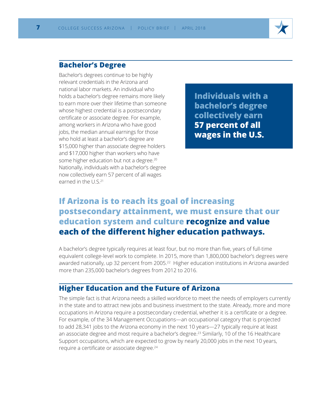### **Bachelor's Degree**

Bachelor's degrees continue to be highly relevant credentials in the Arizona and national labor markets. An individual who holds a bachelor's degree remains more likely to earn more over their lifetime than someone whose highest credential is a postsecondary certificate or associate degree. For example, among workers in Arizona who have good jobs, the median annual earnings for those who hold at least a bachelor's degree are \$15,000 higher than associate degree holders and \$17,000 higher than workers who have some higher education but not a degree.<sup>20</sup> Nationally, individuals with a bachelor's degree now collectively earn 57 percent of all wages earned in the  $U\ S^{21}$ 

**Individuals with a bachelor's degree collectively earn 57 percent of all wages in the U.S.**

### **If Arizona is to reach its goal of increasing postsecondary attainment, we must ensure that our education system and culture recognize and value each of the different higher education pathways.**

A bachelor's degree typically requires at least four, but no more than five, years of full-time equivalent college-level work to complete. In 2015, more than 1,800,000 bachelor's degrees were awarded nationally, up 32 percent from 2005.<sup>22</sup> Higher education institutions in Arizona awarded more than 235,000 bachelor's degrees from 2012 to 2016.

### **Higher Education and the Future of Arizona**

The simple fact is that Arizona needs a skilled workforce to meet the needs of employers currently in the state and to attract new jobs and business investment to the state. Already, more and more occupations in Arizona require a postsecondary credential, whether it is a certificate or a degree. For example, of the 34 Management Occupations—an occupational category that is projected to add 28,341 jobs to the Arizona economy in the next 10 years—27 typically require at least an associate degree and most require a bachelor's degree.<sup>23</sup> Similarly, 10 of the 16 Healthcare Support occupations, which are expected to grow by nearly 20,000 jobs in the next 10 years, require a certificate or associate degree.<sup>24</sup>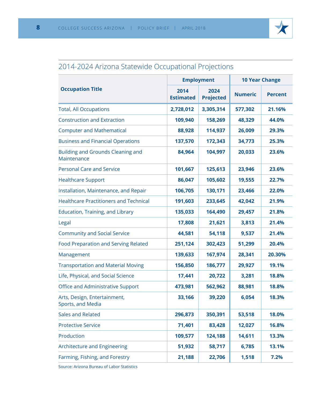

### 2014-2024 Arizona Statewide Occupational Projections

| <b>Occupation Title</b><br>2014<br>2024<br><b>Numeric</b><br><b>Percent</b><br><b>Estimated</b><br><b>Projected</b><br><b>Total, All Occupations</b><br>3,305,314<br>577,302<br>21.16%<br>2,728,012<br><b>Construction and Extraction</b><br>109,940<br>158,269<br>48,329<br>44.0%<br><b>Computer and Mathematical</b><br>114,937<br>26,009<br>88,928<br>29.3%<br><b>Business and Financial Operations</b><br>137,570<br>34,773<br>172,343<br>25.3%<br>Building and Grounds Cleaning and<br>84,964<br>104,997<br>20,033<br>23.6%<br>Maintenance<br><b>Personal Care and Service</b><br>101,667<br>125,613<br>23,946<br>23.6%<br>105,602<br><b>Healthcare Support</b><br>86,047<br>19,555<br>22.7%<br>Installation, Maintenance, and Repair<br>106,705<br>130,171<br>23,466<br>22.0%<br><b>Healthcare Practitioners and Technical</b><br>191,603<br>233,645<br>42,042<br>21.9%<br><b>Education, Training, and Library</b><br>135,033<br>164,490<br>29,457<br>21.8%<br>17,808<br>21,621<br>3,813<br>21.4%<br>Legal<br><b>Community and Social Service</b><br>44,581<br>54,118<br>9,537<br>21.4%<br><b>Food Preparation and Serving Related</b><br>251,124<br>302,423<br>51,299<br>20.4%<br>139,633<br>167,974<br>Management<br>28,341<br>20.30%<br><b>Transportation and Material Moving</b><br>156,850<br>186,777<br>29,927<br>19.1%<br>Life, Physical, and Social Science<br>3,281<br>17,441<br>20,722<br>18.8%<br>Office and Administrative Support<br>473,981<br>562,962<br>88,981<br>18.8%<br>6,054<br>18.3%<br>Arts, Design, Entertainment,<br>33,166<br>39,220<br>Sports, and Media<br><b>Sales and Related</b><br>296,873<br>350,391<br>53,518<br>18.0%<br><b>Protective Service</b><br>71,401<br>83,428<br>12,027<br>16.8%<br>Production<br>14,611<br>109,577<br>124,188<br>13.3%<br>Architecture and Engineering<br>51,932<br>58,717<br>6,785<br>13.1%<br>Farming, Fishing, and Forestry<br>21,188<br>22,706<br>1,518<br>7.2% |  | <b>Employment</b> | <b>10 Year Change</b> |  |
|---------------------------------------------------------------------------------------------------------------------------------------------------------------------------------------------------------------------------------------------------------------------------------------------------------------------------------------------------------------------------------------------------------------------------------------------------------------------------------------------------------------------------------------------------------------------------------------------------------------------------------------------------------------------------------------------------------------------------------------------------------------------------------------------------------------------------------------------------------------------------------------------------------------------------------------------------------------------------------------------------------------------------------------------------------------------------------------------------------------------------------------------------------------------------------------------------------------------------------------------------------------------------------------------------------------------------------------------------------------------------------------------------------------------------------------------------------------------------------------------------------------------------------------------------------------------------------------------------------------------------------------------------------------------------------------------------------------------------------------------------------------------------------------------------------------------------------------------------------------------------------------------------------------------------------------|--|-------------------|-----------------------|--|
|                                                                                                                                                                                                                                                                                                                                                                                                                                                                                                                                                                                                                                                                                                                                                                                                                                                                                                                                                                                                                                                                                                                                                                                                                                                                                                                                                                                                                                                                                                                                                                                                                                                                                                                                                                                                                                                                                                                                       |  |                   |                       |  |
|                                                                                                                                                                                                                                                                                                                                                                                                                                                                                                                                                                                                                                                                                                                                                                                                                                                                                                                                                                                                                                                                                                                                                                                                                                                                                                                                                                                                                                                                                                                                                                                                                                                                                                                                                                                                                                                                                                                                       |  |                   |                       |  |
|                                                                                                                                                                                                                                                                                                                                                                                                                                                                                                                                                                                                                                                                                                                                                                                                                                                                                                                                                                                                                                                                                                                                                                                                                                                                                                                                                                                                                                                                                                                                                                                                                                                                                                                                                                                                                                                                                                                                       |  |                   |                       |  |
|                                                                                                                                                                                                                                                                                                                                                                                                                                                                                                                                                                                                                                                                                                                                                                                                                                                                                                                                                                                                                                                                                                                                                                                                                                                                                                                                                                                                                                                                                                                                                                                                                                                                                                                                                                                                                                                                                                                                       |  |                   |                       |  |
|                                                                                                                                                                                                                                                                                                                                                                                                                                                                                                                                                                                                                                                                                                                                                                                                                                                                                                                                                                                                                                                                                                                                                                                                                                                                                                                                                                                                                                                                                                                                                                                                                                                                                                                                                                                                                                                                                                                                       |  |                   |                       |  |
|                                                                                                                                                                                                                                                                                                                                                                                                                                                                                                                                                                                                                                                                                                                                                                                                                                                                                                                                                                                                                                                                                                                                                                                                                                                                                                                                                                                                                                                                                                                                                                                                                                                                                                                                                                                                                                                                                                                                       |  |                   |                       |  |
|                                                                                                                                                                                                                                                                                                                                                                                                                                                                                                                                                                                                                                                                                                                                                                                                                                                                                                                                                                                                                                                                                                                                                                                                                                                                                                                                                                                                                                                                                                                                                                                                                                                                                                                                                                                                                                                                                                                                       |  |                   |                       |  |
|                                                                                                                                                                                                                                                                                                                                                                                                                                                                                                                                                                                                                                                                                                                                                                                                                                                                                                                                                                                                                                                                                                                                                                                                                                                                                                                                                                                                                                                                                                                                                                                                                                                                                                                                                                                                                                                                                                                                       |  |                   |                       |  |
|                                                                                                                                                                                                                                                                                                                                                                                                                                                                                                                                                                                                                                                                                                                                                                                                                                                                                                                                                                                                                                                                                                                                                                                                                                                                                                                                                                                                                                                                                                                                                                                                                                                                                                                                                                                                                                                                                                                                       |  |                   |                       |  |
|                                                                                                                                                                                                                                                                                                                                                                                                                                                                                                                                                                                                                                                                                                                                                                                                                                                                                                                                                                                                                                                                                                                                                                                                                                                                                                                                                                                                                                                                                                                                                                                                                                                                                                                                                                                                                                                                                                                                       |  |                   |                       |  |
|                                                                                                                                                                                                                                                                                                                                                                                                                                                                                                                                                                                                                                                                                                                                                                                                                                                                                                                                                                                                                                                                                                                                                                                                                                                                                                                                                                                                                                                                                                                                                                                                                                                                                                                                                                                                                                                                                                                                       |  |                   |                       |  |
|                                                                                                                                                                                                                                                                                                                                                                                                                                                                                                                                                                                                                                                                                                                                                                                                                                                                                                                                                                                                                                                                                                                                                                                                                                                                                                                                                                                                                                                                                                                                                                                                                                                                                                                                                                                                                                                                                                                                       |  |                   |                       |  |
|                                                                                                                                                                                                                                                                                                                                                                                                                                                                                                                                                                                                                                                                                                                                                                                                                                                                                                                                                                                                                                                                                                                                                                                                                                                                                                                                                                                                                                                                                                                                                                                                                                                                                                                                                                                                                                                                                                                                       |  |                   |                       |  |
|                                                                                                                                                                                                                                                                                                                                                                                                                                                                                                                                                                                                                                                                                                                                                                                                                                                                                                                                                                                                                                                                                                                                                                                                                                                                                                                                                                                                                                                                                                                                                                                                                                                                                                                                                                                                                                                                                                                                       |  |                   |                       |  |
|                                                                                                                                                                                                                                                                                                                                                                                                                                                                                                                                                                                                                                                                                                                                                                                                                                                                                                                                                                                                                                                                                                                                                                                                                                                                                                                                                                                                                                                                                                                                                                                                                                                                                                                                                                                                                                                                                                                                       |  |                   |                       |  |
|                                                                                                                                                                                                                                                                                                                                                                                                                                                                                                                                                                                                                                                                                                                                                                                                                                                                                                                                                                                                                                                                                                                                                                                                                                                                                                                                                                                                                                                                                                                                                                                                                                                                                                                                                                                                                                                                                                                                       |  |                   |                       |  |
|                                                                                                                                                                                                                                                                                                                                                                                                                                                                                                                                                                                                                                                                                                                                                                                                                                                                                                                                                                                                                                                                                                                                                                                                                                                                                                                                                                                                                                                                                                                                                                                                                                                                                                                                                                                                                                                                                                                                       |  |                   |                       |  |
|                                                                                                                                                                                                                                                                                                                                                                                                                                                                                                                                                                                                                                                                                                                                                                                                                                                                                                                                                                                                                                                                                                                                                                                                                                                                                                                                                                                                                                                                                                                                                                                                                                                                                                                                                                                                                                                                                                                                       |  |                   |                       |  |
|                                                                                                                                                                                                                                                                                                                                                                                                                                                                                                                                                                                                                                                                                                                                                                                                                                                                                                                                                                                                                                                                                                                                                                                                                                                                                                                                                                                                                                                                                                                                                                                                                                                                                                                                                                                                                                                                                                                                       |  |                   |                       |  |
|                                                                                                                                                                                                                                                                                                                                                                                                                                                                                                                                                                                                                                                                                                                                                                                                                                                                                                                                                                                                                                                                                                                                                                                                                                                                                                                                                                                                                                                                                                                                                                                                                                                                                                                                                                                                                                                                                                                                       |  |                   |                       |  |
|                                                                                                                                                                                                                                                                                                                                                                                                                                                                                                                                                                                                                                                                                                                                                                                                                                                                                                                                                                                                                                                                                                                                                                                                                                                                                                                                                                                                                                                                                                                                                                                                                                                                                                                                                                                                                                                                                                                                       |  |                   |                       |  |
|                                                                                                                                                                                                                                                                                                                                                                                                                                                                                                                                                                                                                                                                                                                                                                                                                                                                                                                                                                                                                                                                                                                                                                                                                                                                                                                                                                                                                                                                                                                                                                                                                                                                                                                                                                                                                                                                                                                                       |  |                   |                       |  |
|                                                                                                                                                                                                                                                                                                                                                                                                                                                                                                                                                                                                                                                                                                                                                                                                                                                                                                                                                                                                                                                                                                                                                                                                                                                                                                                                                                                                                                                                                                                                                                                                                                                                                                                                                                                                                                                                                                                                       |  |                   |                       |  |
|                                                                                                                                                                                                                                                                                                                                                                                                                                                                                                                                                                                                                                                                                                                                                                                                                                                                                                                                                                                                                                                                                                                                                                                                                                                                                                                                                                                                                                                                                                                                                                                                                                                                                                                                                                                                                                                                                                                                       |  |                   |                       |  |

Source: Arizona Bureau of Labor Statistics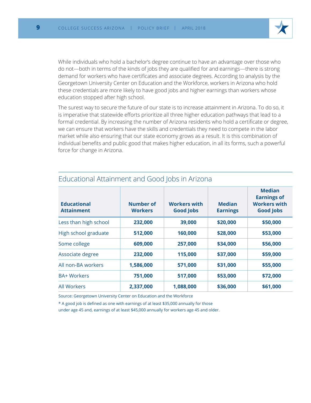

While individuals who hold a bachelor's degree continue to have an advantage over those who do not—both in terms of the kinds of jobs they are qualified for and earnings—there is strong demand for workers who have certificates and associate degrees. According to analysis by the Georgetown University Center on Education and the Workforce, workers in Arizona who hold these credentials are more likely to have good jobs and higher earnings than workers whose education stopped after high school.

The surest way to secure the future of our state is to increase attainment in Arizona. To do so, it is imperative that statewide efforts prioritize all three higher education pathways that lead to a formal credential. By increasing the number of Arizona residents who hold a certificate or degree, we can ensure that workers have the skills and credentials they need to compete in the labor market while also ensuring that our state economy grows as a result. It is this combination of individual benefits and public good that makes higher education, in all its forms, such a powerful force for change in Arizona.

| <b>Educational</b><br><b>Attainment</b> | Number of<br><b>Workers</b> | <b>Workers with</b><br><b>Good Jobs</b> | <b>Median</b><br><b>Earnings</b> | <b>Median</b><br><b>Earnings of</b><br><b>Workers with</b><br><b>Good Jobs</b> |
|-----------------------------------------|-----------------------------|-----------------------------------------|----------------------------------|--------------------------------------------------------------------------------|
| Less than high school                   | 232,000                     | 39,000                                  | \$20,000                         | \$50,000                                                                       |
| High school graduate                    | 512,000                     | 160,000                                 | \$28,000                         | \$53,000                                                                       |
| Some college                            | 609,000                     | 257,000                                 | \$34,000                         | \$56,000                                                                       |
| Associate degree                        | 232,000                     | 115,000                                 | \$37,000                         | \$59,000                                                                       |
| All non-BA workers                      | 1,586,000                   | 571,000                                 | \$31,000                         | \$55,000                                                                       |
| <b>BA+ Workers</b>                      | 751,000                     | 517,000                                 | \$53,000                         | \$72,000                                                                       |
| <b>All Workers</b>                      | 2,337,000                   | 1,088,000                               | \$36,000                         | \$61,000                                                                       |

### Educational Attainment and Good Jobs in Arizona

Source: Georgetown University Center on Education and the Workforce

\* A good job is defined as one with earnings of at least \$35,000 annually for those

under age 45 and, earnings of at least \$45,000 annually for workers age 45 and older.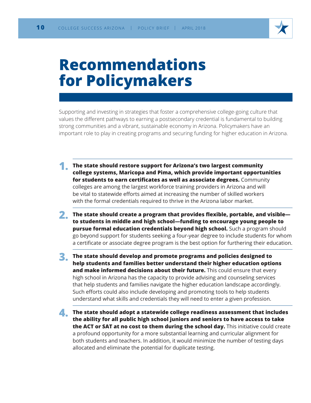

## **Recommendations for Policymakers**

Supporting and investing in strategies that foster a comprehensive college-going culture that values the different pathways to earning a postsecondary credential is fundamental to building strong communities and a vibrant, sustainable economy in Arizona. Policymakers have an important role to play in creating programs and securing funding for higher education in Arizona.

- **1. The state should restore support for Arizona's two largest community college systems, Maricopa and Pima, which provide important opportunities for students to earn certificates as well as associate degrees.** Community colleges are among the largest workforce training providers in Arizona and will be vital to statewide efforts aimed at increasing the number of skilled workers with the formal credentials required to thrive in the Arizona labor market.
- **2. The state should create a program that provides flexible, portable, and visible to students in middle and high school—funding to encourage young people to pursue formal education credentials beyond high school.** Such a program should go beyond support for students seeking a four-year degree to include students for whom a certificate or associate degree program is the best option for furthering their education.
- **3. The state should develop and promote programs and policies designed to help students and families better understand their higher education options and make informed decisions about their future.** This could ensure that every high school in Arizona has the capacity to provide advising and counseling services that help students and families navigate the higher education landscape accordingly. Such efforts could also include developing and promoting tools to help students understand what skills and credentials they will need to enter a given profession.
- **4. The state should adopt a statewide college readiness assessment that includes the ability for all public high school juniors and seniors to have access to take the ACT or SAT at no cost to them during the school day.** This initiative could create a profound opportunity for a more substantial learning and curricular alignment for both students and teachers. In addition, it would minimize the number of testing days allocated and eliminate the potential for duplicate testing.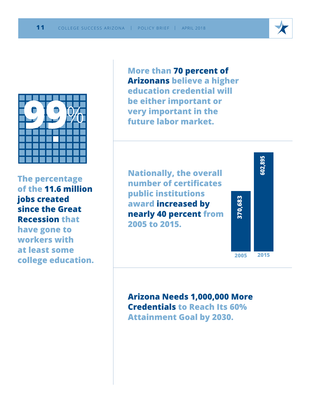

**The percentage of the 11.6 million jobs created since the Great Recession that have gone to workers with at least some college education.** **More than 70 percent of Arizonans believe a higher education credential will be either important or very important in the future labor market.**

**Nationally, the overall number of certificates public institutions award increased by nearly 40 percent from 2005 to 2015.**



**Arizona Needs 1,000,000 More Credentials to Reach Its 60% Attainment Goal by 2030.**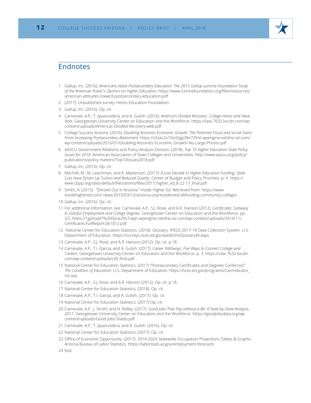

### Endnotes

- 1 Gallup, Inc. (2016). *Americans Value Postsecondary Education: The 2015 Gallup-Lumina Foundation Study of the American Public's Opinion on Higher Education*. https://www.luminafoundation.org/files/resources/ american-attitudes-toward-postsecondary-education.pdf
- 2 (2017). Unpublished survey. Helios Education Foundation.
- 3 Gallup, Inc. (2016). Op. cit.
- 4 Carnevale, A.P., T. Jayasundera, and A. Gulish. (2016). *America's Divided Recovery: College Haves and Have Nots.* Georgetown University Center on Education and the Workforce. https://cew-7632.kxcdn.com/wpcontent/uploads/Americas-Divided-Recovery-web.pdf
- 5 College Success Arizona. (2016). *Doubling Arizona's Economic Growth: The Potential Fiscal and Social Gains From Increasing Postsecondary Attainment.* https://o5otc2v1fzo3zjgc0kr72fml-wpengine.netdna-ssl.com/ wp-content/uploads/2016/01/Doubling-Arizona's-Economic-Growth-No-Large-Photos.pdf
- 6 AASCU Government Relations and Policy Analysis Division. (2018). *Top 10 Higher Education State Policy Issues for 2018.* American Association of State Colleges and Universities. http://www.aascu.org/policy/ publications/policy-matters/Top10Issues2018.pdf
- 7 Gallup, Inc. (2016). Op. cit.
- 8 Mitchell, M., M. Leachman, and K. Masterson. (2017). *A Lost Decade in Higher Education Funding: State Cuts Have Driven Up Tuition and Reduced Quality.* Center of Budget and Policy Priorities. p. 4. https:// www.cbpp.org/sites/default/files/atoms/files/2017\_higher\_ed\_8-22-17\_final.pdf
- 9 Smith, A. (2015). "Zeroed Out in Arizona." Inside Higher Ed. Retrieved from: https://www. insidehighered.com/ news/2015/03/12/arizona-unprecedented-defunding-community-colleges

10 Gallup, Inc. (2016). Op. cit.

- 11 For additional information, see: Carnevale, A.P., S.J. Rose, and A.R. Hanson (2012). C*ertificates: Gateway to Gainful Employment and College Degrees.* Georgetown Center on Education and the Workforce. pp. 3,5. https://1gyhoq479ufd3yna29x7ubjn-wpengine.netdna-ssl.com/wp-content/uploads/2014/11/ Certificates.FullReport.061812.pdf
- 12 National Center for Education Statistics. (2018). Glossary. IPEDS 2017-18 Data Collection System. U.S. Department of Education. https://surveys.nces.ed.gov/ipeds/VisGlossaryAll.aspx
- 13 Carnevale, A.P., S.J. Rose, and A.R. Hanson (2012). Op. cit. p.18.
- 14 Carnevale, A.P., T.I. Garcia, and A. Gulish. (2017). *Career Pathways: Five Ways to Connect College and Careers.* Georgetown University Center on Education and the Workforce. p. 3. https://cew-7632.kxcdn. com/wp-content/uploads/LEE-final.pdf
- 15 National Center for Education Statistics. (2017) "Postsecondary Certificates and Degrees Conferred," *The Condition of Education.* U.S. Department of Education. https://nces.ed.gov/programs/coe/indicator\_ cts.asp
- 16 Carnevale, A.P., S.J. Rose, and A.R. Hanson (2012). Op. cit. p.18.
- 17 National Center for Education Statistics. (2018). Op. cit.
- 18 Carnevale, A.P., T.I. Garcia, and A. Gulish. (2017). Op. cit.
- 19 National Center for Education Statistics. (2017) Op. cit.
- 20 Carnevale, A.P., J. Strohl, and N. Ridley. (2017). *Good Jobs That Pay without a BA: A State-by-State Analysis, 2017.* Georgetown University Center on Education and the Workforce. https://goodjobsdata.org/wpcontent/uploads/Good-Jobs-States.pdf
- 21 Carnevale, A.P., T. Jayasundera, and A. Gulish. (2016). Op. cit.
- 22 National Center for Education Statistics. (2017). Op. cit.
- 23 Office of Economic Opportunity. (2017). 2014-2024 Statewide Occupation Projections Tables & Graphs. Arizona Bureau of Labor Statistics. https://laborstats.az.gov/employment-forecasts
- 24 Ibid.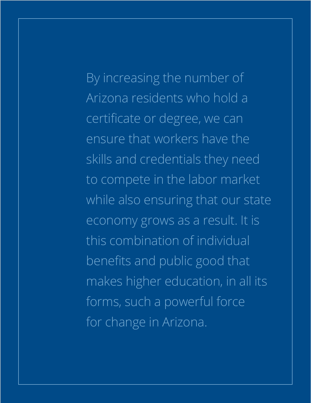By increasing the number of Arizona residents who hold a certificate or degree, we can ensure that workers have the skills and credentials they need to compete in the labor market while also ensuring that our state economy grows as a result. It is this combination of individual benefits and public good that makes higher education, in all its forms, such a powerful force for change in Arizona.